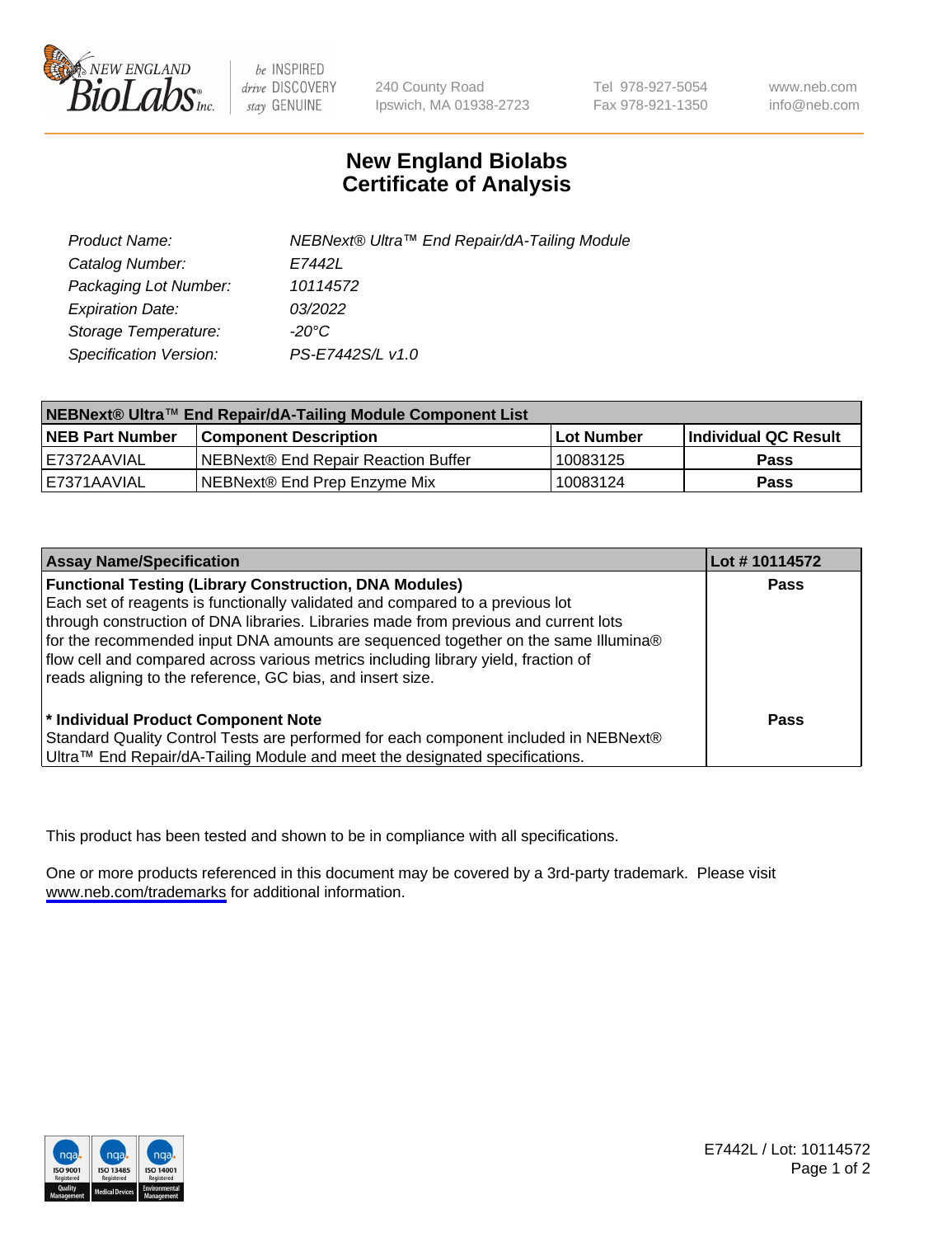

be INSPIRED drive DISCOVERY stay GENUINE

240 County Road Ipswich, MA 01938-2723 Tel 978-927-5054 Fax 978-921-1350

www.neb.com info@neb.com

## **New England Biolabs Certificate of Analysis**

| Product Name:           | NEBNext® Ultra™ End Repair/dA-Tailing Module |
|-------------------------|----------------------------------------------|
| Catalog Number:         | E7442L                                       |
| Packaging Lot Number:   | 10114572                                     |
| <b>Expiration Date:</b> | 03/2022                                      |
| Storage Temperature:    | -20°C                                        |
| Specification Version:  | PS-E7442S/L v1.0                             |

| NEBNext® Ultra™ End Repair/dA-Tailing Module Component List |                                     |              |                      |  |
|-------------------------------------------------------------|-------------------------------------|--------------|----------------------|--|
| <b>NEB Part Number</b>                                      | <b>Component Description</b>        | l Lot Number | Individual QC Result |  |
| E7372AAVIAL                                                 | NEBNext® End Repair Reaction Buffer | 10083125     | <b>Pass</b>          |  |
| IE7371AAVIAL                                                | NEBNext® End Prep Enzyme Mix        | 10083124     | <b>Pass</b>          |  |

| <b>Assay Name/Specification</b>                                                                                                                                                                                                                                                                                                                                                                                                                                                  | Lot #10114572 |
|----------------------------------------------------------------------------------------------------------------------------------------------------------------------------------------------------------------------------------------------------------------------------------------------------------------------------------------------------------------------------------------------------------------------------------------------------------------------------------|---------------|
| <b>Functional Testing (Library Construction, DNA Modules)</b><br>Each set of reagents is functionally validated and compared to a previous lot<br>through construction of DNA libraries. Libraries made from previous and current lots<br>for the recommended input DNA amounts are sequenced together on the same Illumina®<br>flow cell and compared across various metrics including library yield, fraction of<br>reads aligning to the reference, GC bias, and insert size. | <b>Pass</b>   |
| * Individual Product Component Note<br>Standard Quality Control Tests are performed for each component included in NEBNext®<br>Ultra™ End Repair/dA-Tailing Module and meet the designated specifications.                                                                                                                                                                                                                                                                       | Pass          |

This product has been tested and shown to be in compliance with all specifications.

One or more products referenced in this document may be covered by a 3rd-party trademark. Please visit <www.neb.com/trademarks>for additional information.